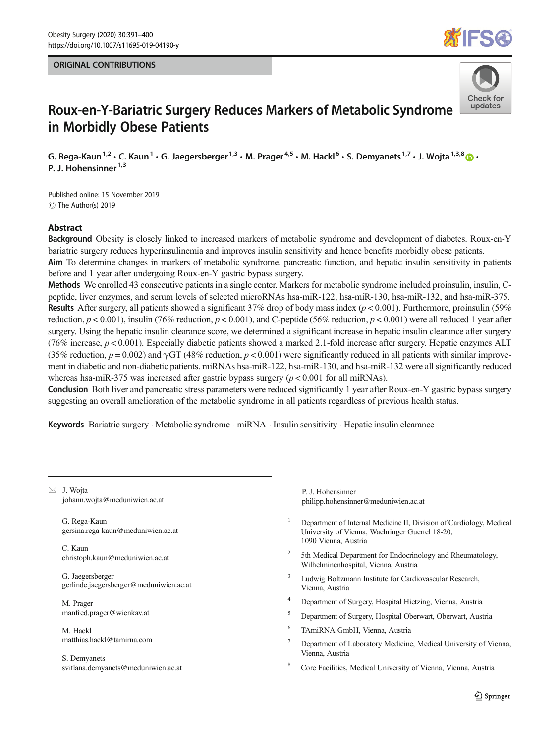# ORIGINAL CONTRIBUTIONS





# Roux-en-Y-Bariatric Surgery Reduces Markers of Metabolic Syndrome in Morbidly Obese Patients

G. Rega-Kaun<sup>1,2</sup>  $\cdot$  C. Kaun<sup>1</sup>  $\cdot$  G. Jaegersberger<sup>1,3</sup>  $\cdot$  M. Prager<sup>4,5</sup>  $\cdot$  M. Hackl<sup>6</sup>  $\cdot$  S. Demyanets<sup>1,7</sup>  $\cdot$  J. Wojta<sup>1,3,8</sup>  $\cdot$ P. J. Hohensinner<sup>1,3</sup>

C The Author(s) 2019 Published online: 15 November 2019

#### Abstract

Background Obesity is closely linked to increased markers of metabolic syndrome and development of diabetes. Roux-en-Y bariatric surgery reduces hyperinsulinemia and improves insulin sensitivity and hence benefits morbidly obese patients.

Aim To determine changes in markers of metabolic syndrome, pancreatic function, and hepatic insulin sensitivity in patients before and 1 year after undergoing Roux-en-Y gastric bypass surgery.

Methods We enrolled 43 consecutive patients in a single center. Markers for metabolic syndrome included proinsulin, insulin, Cpeptide, liver enzymes, and serum levels of selected microRNAs hsa-miR-122, hsa-miR-130, hsa-miR-132, and hsa-miR-375. **Results** After surgery, all patients showed a significant 37% drop of body mass index ( $p < 0.001$ ). Furthermore, proinsulin (59%) reduction,  $p < 0.001$ ), insulin (76% reduction,  $p < 0.001$ ), and C-peptide (56% reduction,  $p < 0.001$ ) were all reduced 1 year after surgery. Using the hepatic insulin clearance score, we determined a significant increase in hepatic insulin clearance after surgery (76% increase,  $p < 0.001$ ). Especially diabetic patients showed a marked 2.1-fold increase after surgery. Hepatic enzymes ALT (35% reduction,  $p = 0.002$ ) and  $\gamma$ GT (48% reduction,  $p < 0.001$ ) were significantly reduced in all patients with similar improvement in diabetic and non-diabetic patients. miRNAs hsa-miR-122, hsa-miR-130, and hsa-miR-132 were all significantly reduced whereas hsa-miR-375 was increased after gastric bypass surgery ( $p < 0.001$  for all miRNAs).

Conclusion Both liver and pancreatic stress parameters were reduced significantly 1 year after Roux-en-Y gastric bypass surgery suggesting an overall amelioration of the metabolic syndrome in all patients regardless of previous health status.

Keywords Bariatric surgery · Metabolic syndrome · miRNA · Insulin sensitivity · Hepatic insulin clearance

 $\boxtimes$  J. Wojta [johann.wojta@meduniwien.ac.at](mailto:johann.wojta@meduniwien.ac.at)

> G. Rega-Kaun gersina.rega-kaun@meduniwien.ac.at

C. Kaun christoph.kaun@meduniwien.ac.at

G. Jaegersberger gerlinde.jaegersberger@meduniwien.ac.at

M. Prager manfred.prager@wienkav.at

M. Hackl matthias.hackl@tamirna.com

S. Demyanets svitlana.demyanets@meduniwien.ac.at

P. J. Hohensinner philipp.hohensinner@meduniwien.ac.at

- <sup>1</sup> Department of Internal Medicine II, Division of Cardiology, Medical University of Vienna, Waehringer Guertel 18-20, 1090 Vienna, Austria
- <sup>2</sup> 5th Medical Department for Endocrinology and Rheumatology, Wilhelminenhospital, Vienna, Austria
- <sup>3</sup> Ludwig Boltzmann Institute for Cardiovascular Research, Vienna, Austria
- <sup>4</sup> Department of Surgery, Hospital Hietzing, Vienna, Austria
- <sup>5</sup> Department of Surgery, Hospital Oberwart, Oberwart, Austria
- <sup>6</sup> TAmiRNA GmbH, Vienna, Austria
- Department of Laboratory Medicine, Medical University of Vienna, Vienna, Austria
- <sup>8</sup> Core Facilities, Medical University of Vienna, Vienna, Austria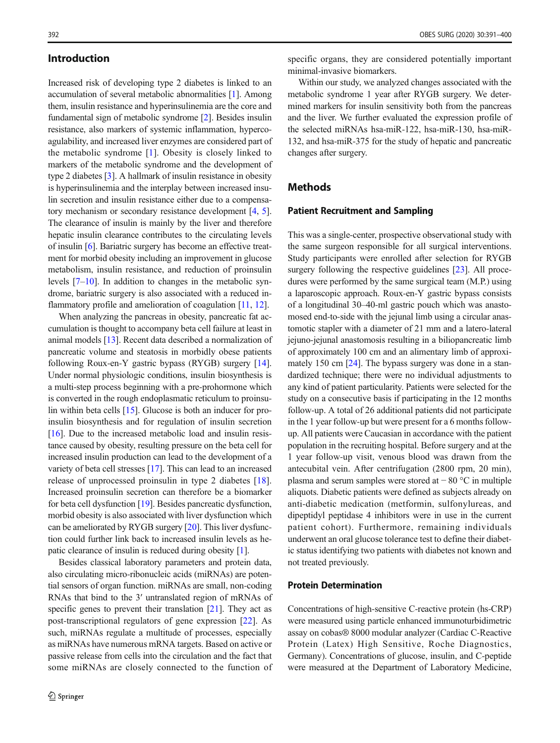#### <span id="page-1-0"></span>Introduction

Increased risk of developing type 2 diabetes is linked to an accumulation of several metabolic abnormalities [\[1](#page-8-0)]. Among them, insulin resistance and hyperinsulinemia are the core and fundamental sign of metabolic syndrome [[2\]](#page-8-0). Besides insulin resistance, also markers of systemic inflammation, hypercoagulability, and increased liver enzymes are considered part of the metabolic syndrome [\[1](#page-8-0)]. Obesity is closely linked to markers of the metabolic syndrome and the development of type 2 diabetes [\[3\]](#page-8-0). A hallmark of insulin resistance in obesity is hyperinsulinemia and the interplay between increased insulin secretion and insulin resistance either due to a compensatory mechanism or secondary resistance development [\[4](#page-8-0), [5\]](#page-8-0). The clearance of insulin is mainly by the liver and therefore hepatic insulin clearance contributes to the circulating levels of insulin [\[6](#page-8-0)]. Bariatric surgery has become an effective treatment for morbid obesity including an improvement in glucose metabolism, insulin resistance, and reduction of proinsulin levels [[7](#page-8-0)–[10](#page-8-0)]. In addition to changes in the metabolic syndrome, bariatric surgery is also associated with a reduced in-flammatory profile and amelioration of coagulation [\[11](#page-8-0), [12\]](#page-8-0).

When analyzing the pancreas in obesity, pancreatic fat accumulation is thought to accompany beta cell failure at least in animal models [\[13](#page-8-0)]. Recent data described a normalization of pancreatic volume and steatosis in morbidly obese patients following Roux-en-Y gastric bypass (RYGB) surgery [[14](#page-8-0)]. Under normal physiologic conditions, insulin biosynthesis is a multi-step process beginning with a pre-prohormone which is converted in the rough endoplasmatic reticulum to proinsulin within beta cells [[15](#page-8-0)]. Glucose is both an inducer for proinsulin biosynthesis and for regulation of insulin secretion [\[16\]](#page-8-0). Due to the increased metabolic load and insulin resistance caused by obesity, resulting pressure on the beta cell for increased insulin production can lead to the development of a variety of beta cell stresses [[17\]](#page-8-0). This can lead to an increased release of unprocessed proinsulin in type 2 diabetes [\[18](#page-8-0)]. Increased proinsulin secretion can therefore be a biomarker for beta cell dysfunction [[19](#page-8-0)]. Besides pancreatic dysfunction, morbid obesity is also associated with liver dysfunction which can be ameliorated by RYGB surgery [\[20](#page-8-0)]. This liver dysfunction could further link back to increased insulin levels as hepatic clearance of insulin is reduced during obesity [[1\]](#page-8-0).

Besides classical laboratory parameters and protein data, also circulating micro-ribonucleic acids (miRNAs) are potential sensors of organ function. miRNAs are small, non-coding RNAs that bind to the 3′ untranslated region of mRNAs of specific genes to prevent their translation [\[21](#page-8-0)]. They act as post-transcriptional regulators of gene expression [[22\]](#page-8-0). As such, miRNAs regulate a multitude of processes, especially as miRNAs have numerous mRNA targets. Based on active or passive release from cells into the circulation and the fact that some miRNAs are closely connected to the function of specific organs, they are considered potentially important minimal-invasive biomarkers.

Within our study, we analyzed changes associated with the metabolic syndrome 1 year after RYGB surgery. We determined markers for insulin sensitivity both from the pancreas and the liver. We further evaluated the expression profile of the selected miRNAs hsa-miR-122, hsa-miR-130, hsa-miR-132, and hsa-miR-375 for the study of hepatic and pancreatic changes after surgery.

## **Methods**

#### Patient Recruitment and Sampling

This was a single-center, prospective observational study with the same surgeon responsible for all surgical interventions. Study participants were enrolled after selection for RYGB surgery following the respective guidelines [[23](#page-8-0)]. All procedures were performed by the same surgical team (M.P.) using a laparoscopic approach. Roux-en-Y gastric bypass consists of a longitudinal 30–40-ml gastric pouch which was anastomosed end-to-side with the jejunal limb using a circular anastomotic stapler with a diameter of 21 mm and a latero-lateral jejuno-jejunal anastomosis resulting in a biliopancreatic limb of approximately 100 cm and an alimentary limb of approximately 150 cm [[24\]](#page-8-0). The bypass surgery was done in a standardized technique; there were no individual adjustments to any kind of patient particularity. Patients were selected for the study on a consecutive basis if participating in the 12 months follow-up. A total of 26 additional patients did not participate in the 1 year follow-up but were present for a 6 months followup. All patients were Caucasian in accordance with the patient population in the recruiting hospital. Before surgery and at the 1 year follow-up visit, venous blood was drawn from the antecubital vein. After centrifugation (2800 rpm, 20 min), plasma and serum samples were stored at − 80 °C in multiple aliquots. Diabetic patients were defined as subjects already on anti-diabetic medication (metformin, sulfonylureas, and dipeptidyl peptidase 4 inhibitors were in use in the current patient cohort). Furthermore, remaining individuals underwent an oral glucose tolerance test to define their diabetic status identifying two patients with diabetes not known and not treated previously.

#### Protein Determination

Concentrations of high-sensitive C-reactive protein (hs-CRP) were measured using particle enhanced immunoturbidimetric assay on cobas® 8000 modular analyzer (Cardiac C-Reactive Protein (Latex) High Sensitive, Roche Diagnostics, Germany). Concentrations of glucose, insulin, and C-peptide were measured at the Department of Laboratory Medicine,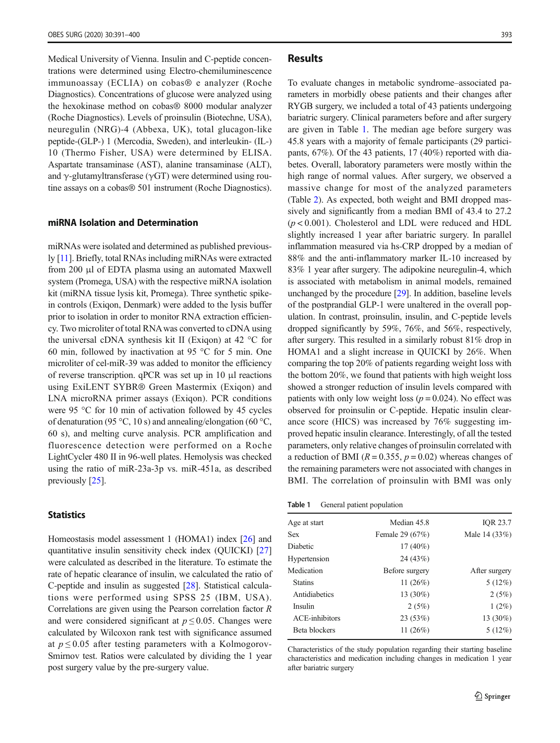Medical University of Vienna. Insulin and C-peptide concentrations were determined using Electro-chemiluminescence immunoassay (ECLIA) on cobas® e analyzer (Roche Diagnostics). Concentrations of glucose were analyzed using the hexokinase method on cobas® 8000 modular analyzer (Roche Diagnostics). Levels of proinsulin (Biotechne, USA), neuregulin (NRG)-4 (Abbexa, UK), total glucagon-like peptide-(GLP-) 1 (Mercodia, Sweden), and interleukin- (IL-) 10 (Thermo Fisher, USA) were determined by ELISA. Aspartate transaminase (AST), alanine transaminase (ALT), and  $\gamma$ -glutamyltransferase ( $\gamma$ GT) were determined using routine assays on a cobas® 501 instrument (Roche Diagnostics).

#### miRNA Isolation and Determination

miRNAs were isolated and determined as published previously [[11](#page-8-0)]. Briefly, total RNAs including miRNAs were extracted from 200 μl of EDTA plasma using an automated Maxwell system (Promega, USA) with the respective miRNA isolation kit (miRNA tissue lysis kit, Promega). Three synthetic spikein controls (Exiqon, Denmark) were added to the lysis buffer prior to isolation in order to monitor RNA extraction efficiency. Two microliter of total RNAwas converted to cDNA using the universal cDNA synthesis kit II (Exiqon) at 42 °C for 60 min, followed by inactivation at 95 °C for 5 min. One microliter of cel-miR-39 was added to monitor the efficiency of reverse transcription. qPCR was set up in 10 μl reactions using ExiLENT SYBR® Green Mastermix (Exiqon) and LNA microRNA primer assays (Exiqon). PCR conditions were 95 °C for 10 min of activation followed by 45 cycles of denaturation (95 °C, 10 s) and annealing/elongation (60 °C, 60 s), and melting curve analysis. PCR amplification and fluorescence detection were performed on a Roche LightCycler 480 II in 96-well plates. Hemolysis was checked using the ratio of miR-23a-3p vs. miR-451a, as described previously [[25](#page-8-0)].

#### **Statistics**

Homeostasis model assessment 1 (HOMA1) index [[26](#page-8-0)] and quantitative insulin sensitivity check index (QUICKI) [[27\]](#page-8-0) were calculated as described in the literature. To estimate the rate of hepatic clearance of insulin, we calculated the ratio of C-peptide and insulin as suggested [\[28\]](#page-8-0). Statistical calculations were performed using SPSS 25 (IBM, USA). Correlations are given using the Pearson correlation factor R and were considered significant at  $p \le 0.05$ . Changes were calculated by Wilcoxon rank test with significance assumed at  $p \leq 0.05$  after testing parameters with a Kolmogorov-Smirnov test. Ratios were calculated by dividing the 1 year post surgery value by the pre-surgery value.

#### Results

To evaluate changes in metabolic syndrome–associated parameters in morbidly obese patients and their changes after RYGB surgery, we included a total of 43 patients undergoing bariatric surgery. Clinical parameters before and after surgery are given in Table 1. The median age before surgery was 45.8 years with a majority of female participants (29 participants, 67%). Of the 43 patients, 17 (40%) reported with diabetes. Overall, laboratory parameters were mostly within the high range of normal values. After surgery, we observed a massive change for most of the analyzed parameters (Table [2\)](#page-3-0). As expected, both weight and BMI dropped massively and significantly from a median BMI of 43.4 to 27.2  $(p < 0.001)$ . Cholesterol and LDL were reduced and HDL slightly increased 1 year after bariatric surgery. In parallel inflammation measured via hs-CRP dropped by a median of 88% and the anti-inflammatory marker IL-10 increased by 83% 1 year after surgery. The adipokine neuregulin-4, which is associated with metabolism in animal models, remained unchanged by the procedure [\[29\]](#page-8-0). In addition, baseline levels of the postprandial GLP-1 were unaltered in the overall population. In contrast, proinsulin, insulin, and C-peptide levels dropped significantly by 59%, 76%, and 56%, respectively, after surgery. This resulted in a similarly robust 81% drop in HOMA1 and a slight increase in QUICKI by 26%. When comparing the top 20% of patients regarding weight loss with the bottom 20%, we found that patients with high weight loss showed a stronger reduction of insulin levels compared with patients with only low weight loss ( $p = 0.024$ ). No effect was observed for proinsulin or C-peptide. Hepatic insulin clearance score (HICS) was increased by 76% suggesting improved hepatic insulin clearance. Interestingly, of all the tested parameters, only relative changes of proinsulin correlated with a reduction of BMI ( $R = 0.355$ ,  $p = 0.02$ ) whereas changes of the remaining parameters were not associated with changes in BMI. The correlation of proinsulin with BMI was only

Table 1 General patient population

| Age at start    | Median 45.8     | IQR 23.7      |
|-----------------|-----------------|---------------|
| <b>Sex</b>      | Female 29 (67%) | Male 14 (33%) |
| <b>Diabetic</b> | $17(40\%)$      |               |
| Hypertension    | 24(43%)         |               |
| Medication      | Before surgery  | After surgery |
| <b>Statins</b>  | 11 $(26%)$      | 5(12%)        |
| Antidiabetics   | 13 $(30\%)$     | 2(5%)         |
| Insulin         | 2(5%)           | $1(2\%)$      |
| ACE-inhibitors  | 23 (53%)        | 13 (30%)      |
| Beta blockers   | 11 $(26%)$      | 5(12%)        |
|                 |                 |               |

Characteristics of the study population regarding their starting baseline characteristics and medication including changes in medication 1 year after bariatric surgery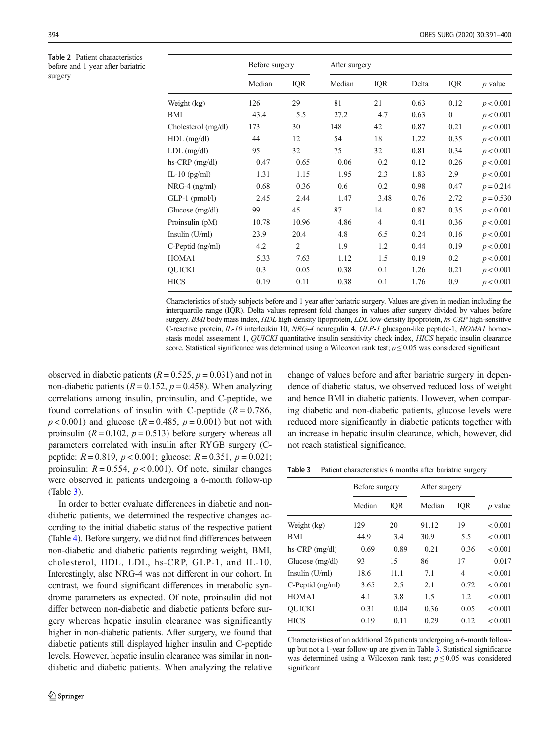<span id="page-3-0"></span>Table 2 Patient characteristics before and 1 year after bariatric surgery

|                       | Before surgery |                |        | After surgery  |       |              |             |  |  |  |  |  |  |
|-----------------------|----------------|----------------|--------|----------------|-------|--------------|-------------|--|--|--|--|--|--|
|                       | Median         | IQR            | Median | IQR            | Delta | IQR          | $p$ value   |  |  |  |  |  |  |
| Weight (kg)           | 126            | 29             | 81     | 21             | 0.63  | 0.12         | p < 0.001   |  |  |  |  |  |  |
| BMI                   | 43.4           | 5.5            | 27.2   | 4.7            | 0.63  | $\mathbf{0}$ | p < 0.001   |  |  |  |  |  |  |
| Cholesterol (mg/dl)   | 173            | 30             | 148    | 42             | 0.87  | 0.21         | p < 0.001   |  |  |  |  |  |  |
| $HDL$ (mg/dl)         | 44             | 12             | 54     | 18             | 1.22  | 0.35         | p < 0.001   |  |  |  |  |  |  |
| $LDL$ (mg/dl)         | 95             | 32             | 75     | 32             | 0.81  | 0.34         | p < 0.001   |  |  |  |  |  |  |
| hs-CRP (mg/dl)        | 0.47           | 0.65           | 0.06   | 0.2            | 0.12  | 0.26         | p < 0.001   |  |  |  |  |  |  |
| IL-10 $(pg/ml)$       | 1.31           | 1.15           | 1.95   | 2.3            | 1.83  | 2.9          | p < 0.001   |  |  |  |  |  |  |
| $NRG-4$ (ng/ml)       | 0.68           | 0.36           | 0.6    | 0.2            | 0.98  | 0.47         | $p = 0.214$ |  |  |  |  |  |  |
| $GLP-1$ (pmol/l)      | 2.45           | 2.44           | 1.47   | 3.48           | 0.76  | 2.72         | $p = 0.530$ |  |  |  |  |  |  |
| Glucose $(mg/dl)$     | 99             | 45             | 87     | 14             | 0.87  | 0.35         | p < 0.001   |  |  |  |  |  |  |
| Proinsulin (pM)       | 10.78          | 10.96          | 4.86   | $\overline{4}$ | 0.41  | 0.36         | p < 0.001   |  |  |  |  |  |  |
| Insulin $(U/ml)$      | 23.9           | 20.4           | 4.8    | 6.5            | 0.24  | 0.16         | p < 0.001   |  |  |  |  |  |  |
| $C$ -Peptid $(ng/ml)$ | 4.2            | $\overline{2}$ | 1.9    | 1.2            | 0.44  | 0.19         | p < 0.001   |  |  |  |  |  |  |
| HOMA1                 | 5.33           | 7.63           | 1.12   | 1.5            | 0.19  | 0.2          | p < 0.001   |  |  |  |  |  |  |
| <b>OUICKI</b>         | 0.3            | 0.05           | 0.38   | 0.1            | 1.26  | 0.21         | p < 0.001   |  |  |  |  |  |  |
| <b>HICS</b>           | 0.19           | 0.11           | 0.38   | 0.1            | 1.76  | 0.9          | p < 0.001   |  |  |  |  |  |  |

Characteristics of study subjects before and 1 year after bariatric surgery. Values are given in median including the interquartile range (IQR). Delta values represent fold changes in values after surgery divided by values before surgery. BMI body mass index, HDL high-density lipoprotein, LDL low-density lipoprotein, hs-CRP high-sensitive C-reactive protein, IL-10 interleukin 10, NRG-4 neuregulin 4, GLP-1 glucagon-like peptide-1, HOMA1 homeostasis model assessment 1, QUICKI quantitative insulin sensitivity check index, HICS hepatic insulin clearance score. Statistical significance was determined using a Wilcoxon rank test;  $p \le 0.05$  was considered significant

observed in diabetic patients ( $R = 0.525$ ,  $p = 0.031$ ) and not in non-diabetic patients ( $R = 0.152$ ,  $p = 0.458$ ). When analyzing correlations among insulin, proinsulin, and C-peptide, we found correlations of insulin with C-peptide  $(R = 0.786,$  $p < 0.001$ ) and glucose ( $R = 0.485$ ,  $p = 0.001$ ) but not with proinsulin ( $R = 0.102$ ,  $p = 0.513$ ) before surgery whereas all parameters correlated with insulin after RYGB surgery (Cpeptide:  $R = 0.819$ ,  $p < 0.001$ ; glucose:  $R = 0.351$ ,  $p = 0.021$ ; proinsulin:  $R = 0.554$ ,  $p < 0.001$ ). Of note, similar changes were observed in patients undergoing a 6-month follow-up (Table 3).

In order to better evaluate differences in diabetic and nondiabetic patients, we determined the respective changes according to the initial diabetic status of the respective patient (Table [4\)](#page-4-0). Before surgery, we did not find differences between non-diabetic and diabetic patients regarding weight, BMI, cholesterol, HDL, LDL, hs-CRP, GLP-1, and IL-10. Interestingly, also NRG-4 was not different in our cohort. In contrast, we found significant differences in metabolic syndrome parameters as expected. Of note, proinsulin did not differ between non-diabetic and diabetic patients before surgery whereas hepatic insulin clearance was significantly higher in non-diabetic patients. After surgery, we found that diabetic patients still displayed higher insulin and C-peptide levels. However, hepatic insulin clearance was similar in nondiabetic and diabetic patients. When analyzing the relative change of values before and after bariatric surgery in dependence of diabetic status, we observed reduced loss of weight and hence BMI in diabetic patients. However, when comparing diabetic and non-diabetic patients, glucose levels were reduced more significantly in diabetic patients together with an increase in hepatic insulin clearance, which, however, did not reach statistical significance.

Table 3 Patient characteristics 6 months after bariatric surgery

| Median | IQR  | Median         | IQR  | $p$ value     |
|--------|------|----------------|------|---------------|
| 129    | 20   | 91.12          | 19   | < 0.001       |
| 44.9   | 3.4  | 30.9           | 5.5  | < 0.001       |
| 0.69   | 0.89 | 0.21           | 0.36 | < 0.001       |
| 93     | 15   | 86             | 17   | 0.017         |
| 18.6   | 11.1 | 7.1            | 4    | < 0.001       |
| 3.65   | 2.5  | 2.1            | 0.72 | < 0.001       |
| 4.1    | 3.8  | 1.5            | 1.2  | < 0.001       |
| 0.31   | 0.04 | 0.36           | 0.05 | < 0.001       |
| 0.19   | 0.11 | 0.29           | 0.12 | < 0.001       |
|        |      | Before surgery |      | After surgery |

Characteristics of an additional 26 patients undergoing a 6-month followup but not a 1-year follow-up are given in Table 3. Statistical significance was determined using a Wilcoxon rank test;  $p \leq 0.05$  was considered significant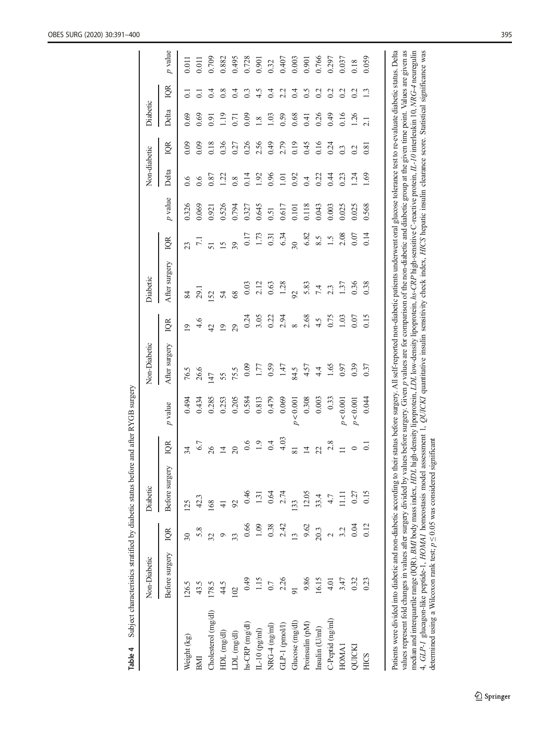<span id="page-4-0"></span>

|                                                                                                                                                                                                                                                                                 | Non-Diabetic    |                          | Diabetic       |                 |           | Non-Diabetic  |                         | Diabetic                                                                                                                                  |                         |                        | Non-diabetic |                  | Diabetic |                |           |
|---------------------------------------------------------------------------------------------------------------------------------------------------------------------------------------------------------------------------------------------------------------------------------|-----------------|--------------------------|----------------|-----------------|-----------|---------------|-------------------------|-------------------------------------------------------------------------------------------------------------------------------------------|-------------------------|------------------------|--------------|------------------|----------|----------------|-----------|
|                                                                                                                                                                                                                                                                                 | Before surgery  | IQR                      | Before surgery | g               | p value   | After surgery | QR                      | After surgery                                                                                                                             | iqr                     | $\boldsymbol{p}$ value | Delta        | IQR              | Delta    | IQR            | $p$ value |
| Weight (kg)                                                                                                                                                                                                                                                                     | 126.5           | $\overline{\mathcal{E}}$ | 125            | $\overline{34}$ | 0.494     | 76.5          | $\overline{\mathsf{C}}$ | 84                                                                                                                                        | 23                      | 0.326                  | 6.6          | 0.09             | 0.69     | $\overline{c}$ | 0.011     |
| BMI                                                                                                                                                                                                                                                                             | 43.5            | 5.8                      | 42.3           | 6.7             | 0.434     | 26.6          | 4.6                     | <b>167</b>                                                                                                                                | $\overline{z}$          | 0.069                  | 0.6          | 0.09             | 0.69     | $\overline{c}$ | 0.011     |
| Cholesterol (mg/dl)                                                                                                                                                                                                                                                             | 178.5           | 32                       | 168            | $\delta$        | 0.285     | 147           | $\overline{d}$          | 52                                                                                                                                        | 51                      | 0.921                  | 0.87         | 0.18             | 0.91     |                | 0.709     |
| HDL (mg/dl)                                                                                                                                                                                                                                                                     | 44.5            | Ó                        |                | $\overline{1}$  | 0.253     | 55            | $\overline{9}$          | 54                                                                                                                                        | $\overline{15}$         | 0.526                  | 1.22         | 0.36             | 1.19     | 0.8            | 0.882     |
| LDL (mg/dl)                                                                                                                                                                                                                                                                     | 102             | 33                       | 92             | $\overline{20}$ | 0.205     | 75.5          | 29                      | 68                                                                                                                                        | 39                      | 0.794                  | 0.8          | 0.27             | 0.71     | 0.4            | 0.495     |
| hs-CRP (mg/dl)                                                                                                                                                                                                                                                                  | 0.49            | 0.66                     | 0.46           | 0.6             | 0.584     | 0.09          | 0.24                    | 0.03                                                                                                                                      | 0.17                    | 0.327                  | 0.14         | 0.26             | 0.09     | 0.3            | 0.728     |
| $IL-10$ (pg/ml)                                                                                                                                                                                                                                                                 | 1.15            | 1.09                     | 1.31           | $1.9$<br>0.4    | 0.813     | 1.77          | 3.05                    | 2.12                                                                                                                                      | 1.73                    | 0.645                  | 1.92         | 2.56             | 1.8      | 4.5            | 0.901     |
| $NRG-4$ (ng/ml)                                                                                                                                                                                                                                                                 | $0.7\,$         | 0.38                     | 0.64           |                 | 0.479     | 0.59          | 0.22                    | 0.63                                                                                                                                      | 0.31                    | 0.51                   | 0.96         | 0.49             | 1.03     | 0.4            | 0.32      |
| $GLP-1$ (pmol/l)                                                                                                                                                                                                                                                                | 2.26            | 2.42                     | 2.74           | 4.03            | 0.069     | 1.47          | 2.94                    | 1.28                                                                                                                                      | 6.34                    | 0.617                  | 1.01         | 2.79             | 0.59     | 2.2            | 0.407     |
| Glucose (mg/dl)                                                                                                                                                                                                                                                                 | $\overline{91}$ | $\frac{13}{2}$           | 133            | 81              | (0.001    | 84.5          | $\infty$                | $\overline{56}$                                                                                                                           | $\overline{30}$         | 0.101                  | 0.92         | 0.19             | 0.68     | 0.4            | 0.003     |
| Proinsulin (pM)                                                                                                                                                                                                                                                                 | 9.86            | 9.62                     | 12.05          | $\overline{1}$  | 0.308     | 4.57          | 2.68                    | 5.83                                                                                                                                      | 6.82                    | 0.118                  | 0.4          | 0.45             | 0.41     | 0.5            | 0.901     |
| Insulin (U/ml)                                                                                                                                                                                                                                                                  | 16.15           | 20.3                     | 33.4           | 22              | 0.003     | 4.4           | 4.5                     | 7.4                                                                                                                                       | $\mathsf{S}.\mathsf{S}$ | 0.043                  | 0.22         | 0.16             | 0.26     | 0.2            | 0.766     |
| C-Peptid (ng/ml)                                                                                                                                                                                                                                                                | $\frac{1}{4}$   | $\overline{C}$           | 4.7            | 2.8             | 0.33      | 1.65          | 0.75                    | 2.3                                                                                                                                       | 1.5                     | 0.003                  | 0.44         | 0.24             | 0.49     | 0.2            | 0.297     |
| HOMA <sub>1</sub>                                                                                                                                                                                                                                                               | 3.47            | 3.2                      | $\Xi$          | $\equiv$        | p < 0.001 | 0.97          | 1.03                    | 1.37                                                                                                                                      | 2.08                    | 0.025                  | 0.23         | $0.\overline{3}$ | 0.16     | 0.2            | 0.037     |
| QUICK                                                                                                                                                                                                                                                                           | 0.32            | 0.04                     | 0.27           | $\circ$         | p < 0.001 | 0.39          | 0.07                    | 0.36                                                                                                                                      | 0.07                    | 0.025                  | 1.24         | 0.2              | 1.26     | 0.2            | 0.18      |
| HICS                                                                                                                                                                                                                                                                            | 0.23            | 0.12                     | 0.15           | $\overline{c}$  | 0.044     | 0.37          | 0.15                    | 0.38                                                                                                                                      | 0.14                    | 0.568                  | 69           | 0.81             | 2.1      | $\mathbf{r}$   | 0.059     |
|                                                                                                                                                                                                                                                                                 |                 |                          |                |                 |           |               |                         |                                                                                                                                           |                         |                        |              |                  |          |                |           |
| Patients were divided into diabetic and non-diabetic according to their status before surgery. All self-reported non-diabetic patients underwent oral glucose tolerance test to re-evaluate diabetic status. Delta                                                              |                 |                          |                |                 |           |               |                         |                                                                                                                                           |                         |                        |              |                  |          |                |           |
| values represent fold changes in values after surgery divided by values before surgery. Given p values are for comparison of the non-diabetic and diabetic group at the given time point. Values are given as<br>median and interquartile range (IQR). BMI body mass index, HDL |                 |                          |                |                 |           |               |                         | . high-density lipoprotein, LDL low-density lipoprotein, hs-CRP high-sensitive C-reactive protein, IL-10 interleukin 10, NRG-4 neuregulin |                         |                        |              |                  |          |                |           |
| 4, GLP-1 glucagon-like peptide-1, HOMA1 homeostasis model<br>determined using a Wilcoxon rank test; $p \le 0.05$ was considered                                                                                                                                                 |                 |                          |                | significant     |           |               |                         | assessment 1, QUICKI quantitative insulin sensitivity check index, HICS hepatic insulin clearance score. Statistical significance was     |                         |                        |              |                  |          |                |           |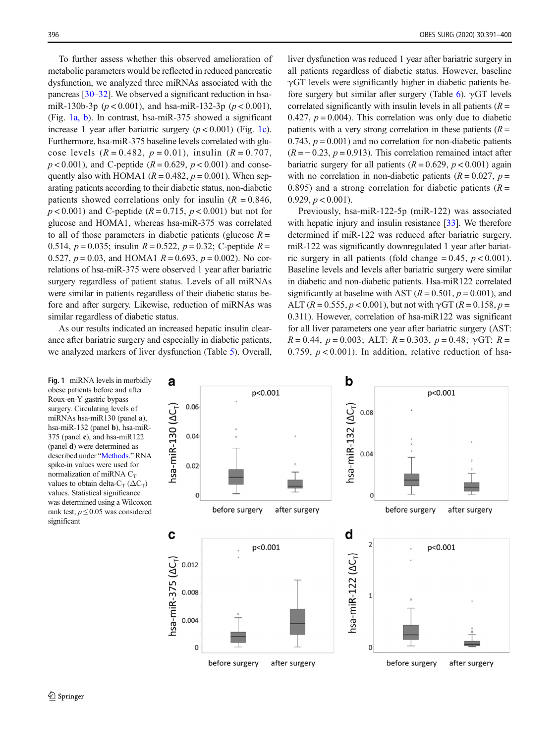To further assess whether this observed amelioration of metabolic parameters would be reflected in reduced pancreatic dysfunction, we analyzed three miRNAs associated with the pancreas [\[30](#page-8-0)–[32\]](#page-8-0). We observed a significant reduction in hsamiR-130b-3p ( $p < 0.001$ ), and hsa-miR-132-3p ( $p < 0.001$ ), (Fig. 1a, b). In contrast, hsa-miR-375 showed a significant increase 1 year after bariatric surgery  $(p < 0.001)$  (Fig. 1c). Furthermore, hsa-miR-375 baseline levels correlated with glucose levels  $(R = 0.482, p = 0.01)$ , insulin  $(R = 0.707,$  $p < 0.001$ ), and C-peptide ( $R = 0.629$ ,  $p < 0.001$ ) and consequently also with HOMA1 ( $R = 0.482$ ,  $p = 0.001$ ). When separating patients according to their diabetic status, non-diabetic patients showed correlations only for insulin ( $R = 0.846$ ,  $p < 0.001$ ) and C-peptide ( $R = 0.715$ ,  $p < 0.001$ ) but not for glucose and HOMA1, whereas hsa-miR-375 was correlated to all of those parameters in diabetic patients (glucose  $R =$ 0.514,  $p = 0.035$ ; insulin  $R = 0.522$ ,  $p = 0.32$ ; C-peptide  $R =$ 0.527,  $p = 0.03$ , and HOMA1  $R = 0.693$ ,  $p = 0.002$ ). No correlations of hsa-miR-375 were observed 1 year after bariatric surgery regardless of patient status. Levels of all miRNAs were similar in patients regardless of their diabetic status before and after surgery. Likewise, reduction of miRNAs was similar regardless of diabetic status.

As our results indicated an increased hepatic insulin clearance after bariatric surgery and especially in diabetic patients, we analyzed markers of liver dysfunction (Table [5](#page-6-0)). Overall,

Fig. 1 miRNA levels in morbidly obese patients before and after Roux-en-Y gastric bypass surgery. Circulating levels of miRNAs hsa-miR130 (panel a), hsa-miR-132 (panel b), hsa-miR-375 (panel c), and hsa-mi $R122$ (panel d) were determined as described under "[Methods.](#page-1-0)" RNA spike-in values were used for normalization of miRNA  $C_T$ values to obtain delta- $C_T$  ( $\Delta C_T$ ) values. Statistical significance was determined using a Wilcoxon rank test;  $p \le 0.05$  was considered significant

liver dysfunction was reduced 1 year after bariatric surgery in all patients regardless of diabetic status. However, baseline  $\gamma$ GT levels were significantly higher in diabetic patients be-fore surgery but similar after surgery (Table [6](#page-6-0)).  $\gamma$ GT levels correlated significantly with insulin levels in all patients  $(R =$ 0.427,  $p = 0.004$ ). This correlation was only due to diabetic patients with a very strong correlation in these patients  $(R =$ 0.743,  $p = 0.001$ ) and no correlation for non-diabetic patients  $(R = -0.23, p = 0.913)$ . This correlation remained intact after bariatric surgery for all patients  $(R = 0.629, p < 0.001)$  again with no correlation in non-diabetic patients ( $R = 0.027$ ,  $p =$ 0.895) and a strong correlation for diabetic patients  $(R =$ 0.929,  $p < 0.001$ ).

Previously, hsa-miR-122-5p (miR-122) was associated with hepatic injury and insulin resistance [\[33\]](#page-8-0). We therefore determined if miR-122 was reduced after bariatric surgery. miR-122 was significantly downregulated 1 year after bariatric surgery in all patients (fold change =  $0.45$ ,  $p < 0.001$ ). Baseline levels and levels after bariatric surgery were similar in diabetic and non-diabetic patients. Hsa-miR122 correlated significantly at baseline with AST  $(R = 0.501, p = 0.001)$ , and ALT ( $R = 0.555$ ,  $p < 0.001$ ), but not with  $\gamma$ GT ( $R = 0.158$ ,  $p =$ 0.311). However, correlation of hsa-miR122 was significant for all liver parameters one year after bariatric surgery (AST:  $R = 0.44$ ,  $p = 0.003$ ; ALT:  $R = 0.303$ ,  $p = 0.48$ ;  $\gamma$ GT:  $R =$ 0.759,  $p < 0.001$ ). In addition, relative reduction of hsa-

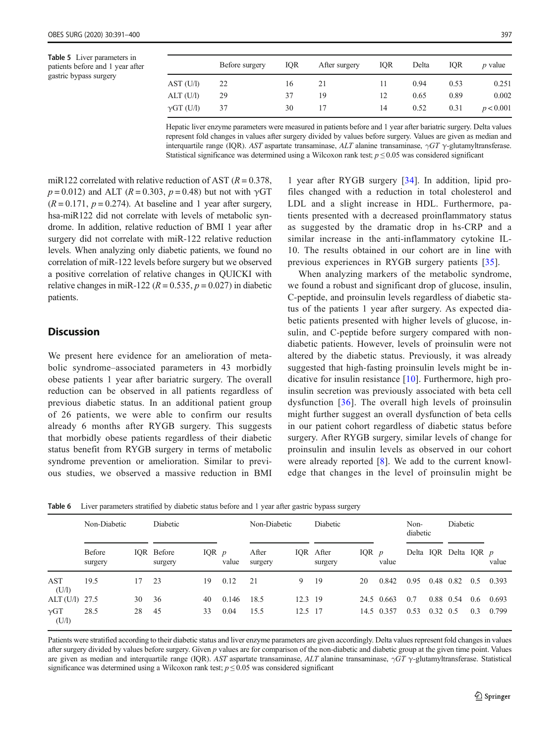<span id="page-6-0"></span>Table 5 Liver parameters in patients before and 1 year after gastric bypass surgery

|                   | Before surgery | <b>IOR</b> | After surgery | IQR | Delta | IOR. | <i>p</i> value |
|-------------------|----------------|------------|---------------|-----|-------|------|----------------|
| AST (U/I)         | 22             | 16         | 21            | 11  | 0.94  | 0.53 | 0.251          |
| ALT (U/l)         | 29             | 37         | 19            | 12  | 0.65  | 0.89 | 0.002          |
| $\gamma$ GT (U/l) | 37             | 30         | 17            | 14  | 0.52  | 0.31 | p < 0.001      |

Hepatic liver enzyme parameters were measured in patients before and 1 year after bariatric surgery. Delta values represent fold changes in values after surgery divided by values before surgery. Values are given as median and interquartile range (IQR). AST aspartate transaminase, ALT alanine transaminase,  $\gamma GT \gamma$ -glutamyltransferase. Statistical significance was determined using a Wilcoxon rank test;  $p \le 0.05$  was considered significant

miR122 correlated with relative reduction of AST  $(R = 0.378$ .  $p = 0.012$ ) and ALT ( $R = 0.303$ ,  $p = 0.48$ ) but not with  $\gamma$ GT  $(R = 0.171, p = 0.274)$ . At baseline and 1 year after surgery, hsa-miR122 did not correlate with levels of metabolic syndrome. In addition, relative reduction of BMI 1 year after surgery did not correlate with miR-122 relative reduction levels. When analyzing only diabetic patients, we found no correlation of miR-122 levels before surgery but we observed a positive correlation of relative changes in QUICKI with relative changes in miR-122 ( $R = 0.535$ ,  $p = 0.027$ ) in diabetic patients.

### **Discussion**

We present here evidence for an amelioration of metabolic syndrome–associated parameters in 43 morbidly obese patients 1 year after bariatric surgery. The overall reduction can be observed in all patients regardless of previous diabetic status. In an additional patient group of 26 patients, we were able to confirm our results already 6 months after RYGB surgery. This suggests that morbidly obese patients regardless of their diabetic status benefit from RYGB surgery in terms of metabolic syndrome prevention or amelioration. Similar to previous studies, we observed a massive reduction in BMI

1 year after RYGB surgery [[34\]](#page-9-0). In addition, lipid profiles changed with a reduction in total cholesterol and LDL and a slight increase in HDL. Furthermore, patients presented with a decreased proinflammatory status as suggested by the dramatic drop in hs-CRP and a similar increase in the anti-inflammatory cytokine IL-10. The results obtained in our cohort are in line with previous experiences in RYGB surgery patients [[35](#page-9-0)].

When analyzing markers of the metabolic syndrome, we found a robust and significant drop of glucose, insulin, C-peptide, and proinsulin levels regardless of diabetic status of the patients 1 year after surgery. As expected diabetic patients presented with higher levels of glucose, insulin, and C-peptide before surgery compared with nondiabetic patients. However, levels of proinsulin were not altered by the diabetic status. Previously, it was already suggested that high-fasting proinsulin levels might be indicative for insulin resistance [[10](#page-8-0)]. Furthermore, high proinsulin secretion was previously associated with beta cell dysfunction [[36](#page-9-0)]. The overall high levels of proinsulin might further suggest an overall dysfunction of beta cells in our patient cohort regardless of diabetic status before surgery. After RYGB surgery, similar levels of change for proinsulin and insulin levels as observed in our cohort were already reported [\[8](#page-8-0)]. We add to the current knowledge that changes in the level of proinsulin might be

|                      | Non-Diabetic             |    | Diabetic              |         |       | Non-Diabetic     |           | Diabetic             |         |            | Non-<br>diabetic |                  | Diabetic              |     |       |
|----------------------|--------------------------|----|-----------------------|---------|-------|------------------|-----------|----------------------|---------|------------|------------------|------------------|-----------------------|-----|-------|
|                      | <b>Before</b><br>surgery |    | IOR Before<br>surgery | IQR $p$ | value | After<br>surgery |           | IQR After<br>surgery | IQR $p$ | value      |                  |                  | Delta IQR Delta IQR p |     | value |
| AST<br>(U/I)         | 19.5                     | 17 | 23                    | 19      | 0.12  | 21               | 9         | 19                   | 20      | 0.842      | 0.95             | 0.48 0.82        |                       | 0.5 | 0.393 |
| ALT (U/l) 27.5       |                          | 30 | 36                    | 40      | 0.146 | 18.5             | $12.3$ 19 |                      |         | 24.5 0.663 | 0.7              |                  | 0.88 0.54             | 0.6 | 0.693 |
| $\gamma$ GT<br>(U/1) | 28.5                     | 28 | 45                    | 33      | 0.04  | 15.5             | 12.5 17   |                      |         | 14.5 0.357 | 0.53             | $0.32 \quad 0.5$ |                       | 0.3 | 0.799 |

Table 6 Liver parameters stratified by diabetic status before and 1 year after gastric bypass surgery

Patients were stratified according to their diabetic status and liver enzyme parameters are given accordingly. Delta values represent fold changes in values after surgery divided by values before surgery. Given  $p$  values are for comparison of the non-diabetic and diabetic group at the given time point. Values are given as median and interquartile range (IQR). AST aspartate transaminase, ALT alanine transaminase,  $\gamma GT \gamma$ -glutamyltransferase. Statistical significance was determined using a Wilcoxon rank test;  $p \le 0.05$  was considered significant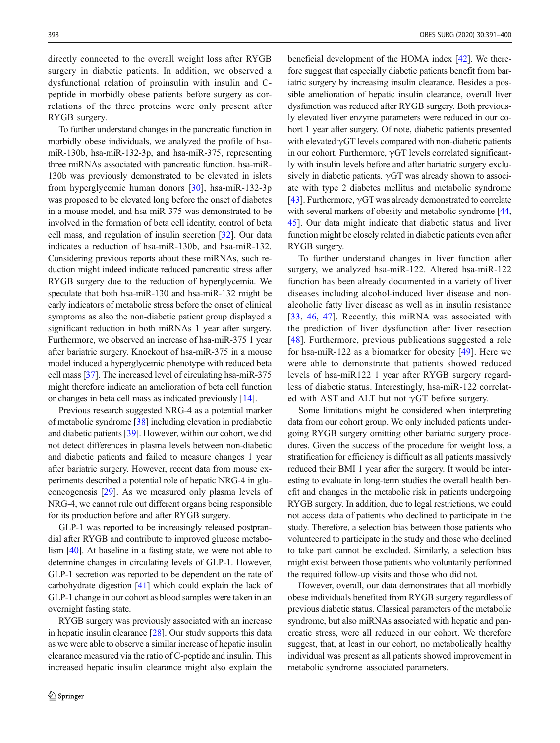directly connected to the overall weight loss after RYGB surgery in diabetic patients. In addition, we observed a dysfunctional relation of proinsulin with insulin and Cpeptide in morbidly obese patients before surgery as correlations of the three proteins were only present after RYGB surgery.

To further understand changes in the pancreatic function in morbidly obese individuals, we analyzed the profile of hsamiR-130b, hsa-miR-132-3p, and hsa-miR-375, representing three miRNAs associated with pancreatic function. hsa-miR-130b was previously demonstrated to be elevated in islets from hyperglycemic human donors [[30\]](#page-8-0), hsa-miR-132-3p was proposed to be elevated long before the onset of diabetes in a mouse model, and hsa-miR-375 was demonstrated to be involved in the formation of beta cell identity, control of beta cell mass, and regulation of insulin secretion [[32\]](#page-8-0). Our data indicates a reduction of hsa-miR-130b, and hsa-miR-132. Considering previous reports about these miRNAs, such reduction might indeed indicate reduced pancreatic stress after RYGB surgery due to the reduction of hyperglycemia. We speculate that both hsa-miR-130 and hsa-miR-132 might be early indicators of metabolic stress before the onset of clinical symptoms as also the non-diabetic patient group displayed a significant reduction in both miRNAs 1 year after surgery. Furthermore, we observed an increase of hsa-miR-375 1 year after bariatric surgery. Knockout of hsa-miR-375 in a mouse model induced a hyperglycemic phenotype with reduced beta cell mass [\[37](#page-9-0)]. The increased level of circulating hsa-miR-375 might therefore indicate an amelioration of beta cell function or changes in beta cell mass as indicated previously [\[14](#page-8-0)].

Previous research suggested NRG-4 as a potential marker of metabolic syndrome [\[38\]](#page-9-0) including elevation in prediabetic and diabetic patients [[39\]](#page-9-0). However, within our cohort, we did not detect differences in plasma levels between non-diabetic and diabetic patients and failed to measure changes 1 year after bariatric surgery. However, recent data from mouse experiments described a potential role of hepatic NRG-4 in gluconeogenesis [[29](#page-8-0)]. As we measured only plasma levels of NRG-4, we cannot rule out different organs being responsible for its production before and after RYGB surgery.

GLP-1 was reported to be increasingly released postprandial after RYGB and contribute to improved glucose metabolism [[40\]](#page-9-0). At baseline in a fasting state, we were not able to determine changes in circulating levels of GLP-1. However, GLP-1 secretion was reported to be dependent on the rate of carbohydrate digestion [[41](#page-9-0)] which could explain the lack of GLP-1 change in our cohort as blood samples were taken in an overnight fasting state.

RYGB surgery was previously associated with an increase in hepatic insulin clearance [\[28\]](#page-8-0). Our study supports this data as we were able to observe a similar increase of hepatic insulin clearance measured via the ratio of C-peptide and insulin. This increased hepatic insulin clearance might also explain the

beneficial development of the HOMA index [\[42](#page-9-0)]. We therefore suggest that especially diabetic patients benefit from bariatric surgery by increasing insulin clearance. Besides a possible amelioration of hepatic insulin clearance, overall liver dysfunction was reduced after RYGB surgery. Both previously elevated liver enzyme parameters were reduced in our cohort 1 year after surgery. Of note, diabetic patients presented with elevated  $\gamma$ GT levels compared with non-diabetic patients in our cohort. Furthermore,  $\gamma$ GT levels correlated significantly with insulin levels before and after bariatric surgery exclusively in diabetic patients.  $\gamma$ GT was already shown to associate with type 2 diabetes mellitus and metabolic syndrome [\[43](#page-9-0)]. Furthermore,  $\gamma$ GT was already demonstrated to correlate with several markers of obesity and metabolic syndrome [\[44,](#page-9-0) [45](#page-9-0)]. Our data might indicate that diabetic status and liver function might be closely related in diabetic patients even after RYGB surgery.

To further understand changes in liver function after surgery, we analyzed hsa-miR-122. Altered hsa-miR-122 function has been already documented in a variety of liver diseases including alcohol-induced liver disease and nonalcoholic fatty liver disease as well as in insulin resistance [\[33,](#page-8-0) [46,](#page-9-0) [47\]](#page-9-0). Recently, this miRNA was associated with the prediction of liver dysfunction after liver resection [\[48\]](#page-9-0). Furthermore, previous publications suggested a role for hsa-miR-122 as a biomarker for obesity [[49\]](#page-9-0). Here we were able to demonstrate that patients showed reduced levels of hsa-miR122 1 year after RYGB surgery regardless of diabetic status. Interestingly, hsa-miR-122 correlated with AST and ALT but not  $\gamma$ GT before surgery.

Some limitations might be considered when interpreting data from our cohort group. We only included patients undergoing RYGB surgery omitting other bariatric surgery procedures. Given the success of the procedure for weight loss, a stratification for efficiency is difficult as all patients massively reduced their BMI 1 year after the surgery. It would be interesting to evaluate in long-term studies the overall health benefit and changes in the metabolic risk in patients undergoing RYGB surgery. In addition, due to legal restrictions, we could not access data of patients who declined to participate in the study. Therefore, a selection bias between those patients who volunteered to participate in the study and those who declined to take part cannot be excluded. Similarly, a selection bias might exist between those patients who voluntarily performed the required follow-up visits and those who did not.

However, overall, our data demonstrates that all morbidly obese individuals benefited from RYGB surgery regardless of previous diabetic status. Classical parameters of the metabolic syndrome, but also miRNAs associated with hepatic and pancreatic stress, were all reduced in our cohort. We therefore suggest, that, at least in our cohort, no metabolically healthy individual was present as all patients showed improvement in metabolic syndrome–associated parameters.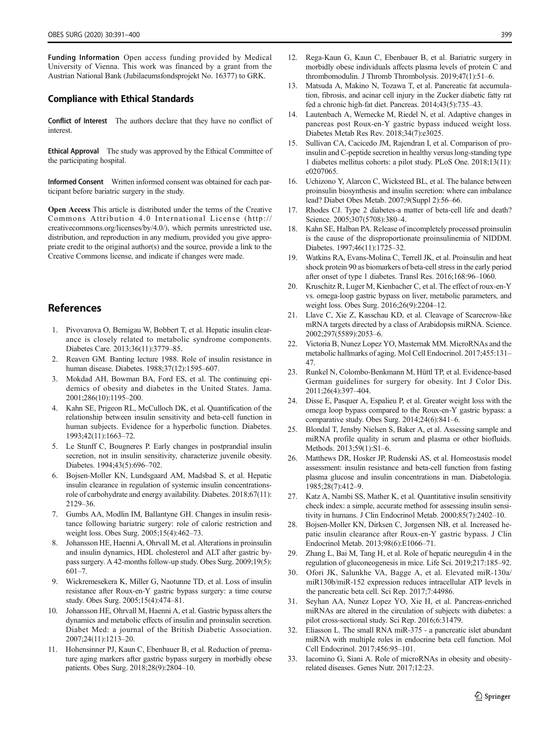<span id="page-8-0"></span>Funding Information Open access funding provided by Medical University of Vienna. This work was financed by a grant from the Austrian National Bank (Jubilaeumsfondsprojekt No. 16377) to GRK.

#### Compliance with Ethical Standards

Conflict of Interest The authors declare that they have no conflict of interest.

Ethical Approval The study was approved by the Ethical Committee of the participating hospital.

Informed Consent Written informed consent was obtained for each participant before bariatric surgery in the study.

Open Access This article is distributed under the terms of the Creative Commons Attribution 4.0 International License (http:// creativecommons.org/licenses/by/4.0/), which permits unrestricted use, distribution, and reproduction in any medium, provided you give appropriate credit to the original author(s) and the source, provide a link to the Creative Commons license, and indicate if changes were made.

### **References**

- 1. Pivovarova O, Bernigau W, Bobbert T, et al. Hepatic insulin clearance is closely related to metabolic syndrome components. Diabetes Care. 2013;36(11):3779–85.
- 2. Reaven GM. Banting lecture 1988. Role of insulin resistance in human disease. Diabetes. 1988;37(12):1595–607.
- 3. Mokdad AH, Bowman BA, Ford ES, et al. The continuing epidemics of obesity and diabetes in the United States. Jama. 2001;286(10):1195–200.
- 4. Kahn SE, Prigeon RL, McCulloch DK, et al. Quantification of the relationship between insulin sensitivity and beta-cell function in human subjects. Evidence for a hyperbolic function. Diabetes. 1993;42(11):1663–72.
- 5. Le Stunff C, Bougneres P. Early changes in postprandial insulin secretion, not in insulin sensitivity, characterize juvenile obesity. Diabetes. 1994;43(5):696–702.
- 6. Bojsen-Moller KN, Lundsgaard AM, Madsbad S, et al. Hepatic insulin clearance in regulation of systemic insulin concentrationsrole of carbohydrate and energy availability. Diabetes. 2018;67(11): 2129–36.
- 7. Gumbs AA, Modlin IM, Ballantyne GH. Changes in insulin resistance following bariatric surgery: role of caloric restriction and weight loss. Obes Surg. 2005;15(4):462–73.
- 8. Johansson HE, Haenni A, Ohrvall M, et al. Alterations in proinsulin and insulin dynamics, HDL cholesterol and ALT after gastric bypass surgery. A 42-months follow-up study. Obes Surg. 2009;19(5): 601–7.
- 9. Wickremesekera K, Miller G, Naotunne TD, et al. Loss of insulin resistance after Roux-en-Y gastric bypass surgery: a time course study. Obes Surg. 2005;15(4):474–81.
- 10. Johansson HE, Ohrvall M, Haenni A, et al. Gastric bypass alters the dynamics and metabolic effects of insulin and proinsulin secretion. Diabet Med: a journal of the British Diabetic Association. 2007;24(11):1213–20.
- 11. Hohensinner PJ, Kaun C, Ebenbauer B, et al. Reduction of premature aging markers after gastric bypass surgery in morbidly obese patients. Obes Surg. 2018;28(9):2804–10.
- 12. Rega-Kaun G, Kaun C, Ebenbauer B, et al. Bariatric surgery in morbidly obese individuals affects plasma levels of protein C and thrombomodulin. J Thromb Thrombolysis. 2019;47(1):51-6.
- Matsuda A, Makino N, Tozawa T, et al. Pancreatic fat accumulation, fibrosis, and acinar cell injury in the Zucker diabetic fatty rat fed a chronic high-fat diet. Pancreas. 2014;43(5):735–43.
- 14. Lautenbach A, Wernecke M, Riedel N, et al. Adaptive changes in pancreas post Roux-en-Y gastric bypass induced weight loss. Diabetes Metab Res Rev. 2018;34(7):e3025.
- 15. Sullivan CA, Cacicedo JM, Rajendran I, et al. Comparison of proinsulin and C-peptide secretion in healthy versus long-standing type 1 diabetes mellitus cohorts: a pilot study. PLoS One. 2018;13(11): e0207065.
- 16. Uchizono Y, Alarcon C, Wicksteed BL, et al. The balance between proinsulin biosynthesis and insulin secretion: where can imbalance lead? Diabet Obes Metab. 2007;9(Suppl 2):56–66.
- Rhodes CJ. Type 2 diabetes-a matter of beta-cell life and death? Science. 2005;307(5708):380–4.
- 18. Kahn SE, Halban PA. Release of incompletely processed proinsulin is the cause of the disproportionate proinsulinemia of NIDDM. Diabetes. 1997;46(11):1725–32.
- 19. Watkins RA, Evans-Molina C, Terrell JK, et al. Proinsulin and heat shock protein 90 as biomarkers of beta-cell stress in the early period after onset of type 1 diabetes. Transl Res. 2016;168:96–1060.
- 20. Kruschitz R, Luger M, Kienbacher C, et al. The effect of roux-en-Y vs. omega-loop gastric bypass on liver, metabolic parameters, and weight loss. Obes Surg. 2016;26(9):2204–12.
- 21. Llave C, Xie Z, Kasschau KD, et al. Cleavage of Scarecrow-like mRNA targets directed by a class of Arabidopsis miRNA. Science. 2002;297(5589):2053–6.
- 22. Victoria B, Nunez Lopez YO, Masternak MM. MicroRNAs and the metabolic hallmarks of aging. Mol Cell Endocrinol. 2017;455:131– 47.
- 23. Runkel N, Colombo-Benkmann M, Hüttl TP, et al. Evidence-based German guidelines for surgery for obesity. Int J Color Dis. 2011;26(4):397–404.
- 24. Disse E, Pasquer A, Espalieu P, et al. Greater weight loss with the omega loop bypass compared to the Roux-en-Y gastric bypass: a comparative study. Obes Surg. 2014;24(6):841–6.
- 25. Blondal T, Jensby Nielsen S, Baker A, et al. Assessing sample and miRNA profile quality in serum and plasma or other biofluids. Methods. 2013;59(1):S1–6.
- 26. Matthews DR, Hosker JP, Rudenski AS, et al. Homeostasis model assessment: insulin resistance and beta-cell function from fasting plasma glucose and insulin concentrations in man. Diabetologia. 1985;28(7):412–9.
- 27. Katz A, Nambi SS, Mather K, et al. Quantitative insulin sensitivity check index: a simple, accurate method for assessing insulin sensitivity in humans. J Clin Endocrinol Metab. 2000;85(7):2402–10.
- 28. Bojsen-Moller KN, Dirksen C, Jorgensen NB, et al. Increased hepatic insulin clearance after Roux-en-Y gastric bypass. J Clin Endocrinol Metab. 2013;98(6):E1066–71.
- 29. Zhang L, Bai M, Tang H, et al. Role of hepatic neuregulin 4 in the regulation of gluconeogenesis in mice. Life Sci. 2019;217:185–92.
- 30. Ofori JK, Salunkhe VA, Bagge A, et al. Elevated miR-130a/ miR130b/miR-152 expression reduces intracellular ATP levels in the pancreatic beta cell. Sci Rep. 2017;7:44986.
- 31. Seyhan AA, Nunez Lopez YO, Xie H, et al. Pancreas-enriched miRNAs are altered in the circulation of subjects with diabetes: a pilot cross-sectional study. Sci Rep. 2016;6:31479.
- 32. Eliasson L. The small RNA miR-375 a pancreatic islet abundant miRNA with multiple roles in endocrine beta cell function. Mol Cell Endocrinol. 2017;456:95–101.
- 33. Iacomino G, Siani A. Role of microRNAs in obesity and obesityrelated diseases. Genes Nutr. 2017;12:23.